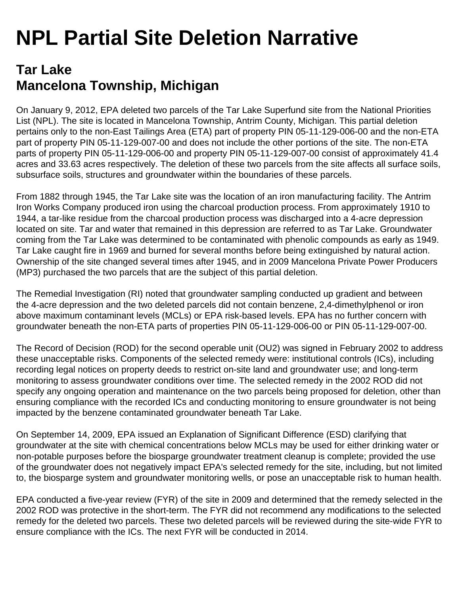## **NPL Partial Site Deletion Narrative**

## **Tar Lake Mancelona Township, Michigan**

On January 9, 2012, EPA deleted two parcels of the Tar Lake Superfund site from the National Priorities List (NPL). The site is located in Mancelona Township, Antrim County, Michigan. This partial deletion pertains only to the non-East Tailings Area (ETA) part of property PIN 05-11-129-006-00 and the non-ETA part of property PIN 05-11-129-007-00 and does not include the other portions of the site. The non-ETA parts of property PIN 05-11-129-006-00 and property PIN 05-11-129-007-00 consist of approximately 41.4 acres and 33.63 acres respectively. The deletion of these two parcels from the site affects all surface soils, subsurface soils, structures and groundwater within the boundaries of these parcels.

From 1882 through 1945, the Tar Lake site was the location of an iron manufacturing facility. The Antrim Iron Works Company produced iron using the charcoal production process. From approximately 1910 to 1944, a tar-like residue from the charcoal production process was discharged into a 4-acre depression located on site. Tar and water that remained in this depression are referred to as Tar Lake. Groundwater coming from the Tar Lake was determined to be contaminated with phenolic compounds as early as 1949. Tar Lake caught fire in 1969 and burned for several months before being extinguished by natural action. Ownership of the site changed several times after 1945, and in 2009 Mancelona Private Power Producers (MP3) purchased the two parcels that are the subject of this partial deletion.

The Remedial Investigation (RI) noted that groundwater sampling conducted up gradient and between the 4-acre depression and the two deleted parcels did not contain benzene, 2,4-dimethylphenol or iron above maximum contaminant levels (MCLs) or EPA risk-based levels. EPA has no further concern with groundwater beneath the non-ETA parts of properties PIN 05-11-129-006-00 or PIN 05-11-129-007-00.

The Record of Decision (ROD) for the second operable unit (OU2) was signed in February 2002 to address these unacceptable risks. Components of the selected remedy were: institutional controls (ICs), including recording legal notices on property deeds to restrict on-site land and groundwater use; and long-term monitoring to assess groundwater conditions over time. The selected remedy in the 2002 ROD did not specify any ongoing operation and maintenance on the two parcels being proposed for deletion, other than ensuring compliance with the recorded ICs and conducting monitoring to ensure groundwater is not being impacted by the benzene contaminated groundwater beneath Tar Lake.

On September 14, 2009, EPA issued an Explanation of Significant Difference (ESD) clarifying that groundwater at the site with chemical concentrations below MCLs may be used for either drinking water or non-potable purposes before the biosparge groundwater treatment cleanup is complete; provided the use of the groundwater does not negatively impact EPA's selected remedy for the site, including, but not limited to, the biosparge system and groundwater monitoring wells, or pose an unacceptable risk to human health.

EPA conducted a five-year review (FYR) of the site in 2009 and determined that the remedy selected in the 2002 ROD was protective in the short-term. The FYR did not recommend any modifications to the selected remedy for the deleted two parcels. These two deleted parcels will be reviewed during the site-wide FYR to ensure compliance with the ICs. The next FYR will be conducted in 2014.